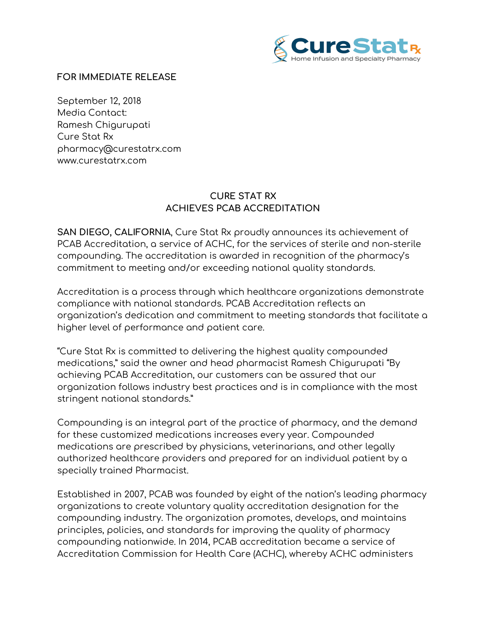

## **FOR IMMEDIATE RELEASE**

September 12, 2018 Media Contact: Ramesh Chigurupati Cure Stat Rx pharmacy@curestatrx.com www.curestatrx.com

## **CURE STAT RX ACHIEVES PCAB ACCREDITATION**

**SAN DIEGO, CALIFORNIA**, Cure Stat Rx proudly announces its achievement of PCAB Accreditation, a service of ACHC, for the services of sterile and non-sterile compounding. The accreditation is awarded in recognition of the pharmacy's commitment to meeting and/or exceeding national quality standards.

Accreditation is a process through which healthcare organizations demonstrate compliance with national standards. PCAB Accreditation reflects an organization's dedication and commitment to meeting standards that facilitate a higher level of performance and patient care.

"Cure Stat Rx is committed to delivering the highest quality compounded medications," said the owner and head pharmacist Ramesh Chigurupati "By achieving PCAB Accreditation, our customers can be assured that our organization follows industry best practices and is in compliance with the most stringent national standards."

Compounding is an integral part of the practice of pharmacy, and the demand for these customized medications increases every year. Compounded medications are prescribed by physicians, veterinarians, and other legally authorized healthcare providers and prepared for an individual patient by a specially trained Pharmacist.

Established in 2007, PCAB was founded by eight of the nation's leading pharmacy organizations to create voluntary quality accreditation designation for the compounding industry. The organization promotes, develops, and maintains principles, policies, and standards for improving the quality of pharmacy compounding nationwide. In 2014, PCAB accreditation became a service of Accreditation Commission for Health Care (ACHC), whereby ACHC administers